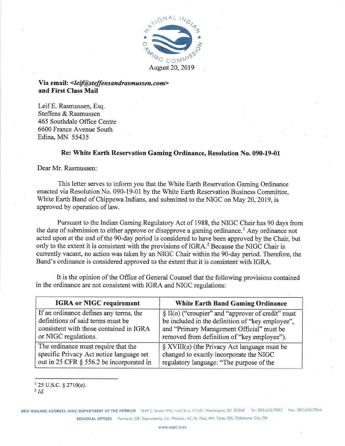

Via email: <*leif@steffensandrasmussen.com*> and First Class Mail

Leif E. Rasmussen, Esq. Steffens & Rasmussen 465 Southdale Office Centre 6600 France Avenue South Edina, MN 55435

#### Re: White Earth Reservation Gaming Ordinance, Resolution No. 090-19-01

Dear Mr. Rasmussen:

This letter serves to inform you that the White Earth Reservation Gaming Ordinance enacted via Resolution No. 090-19-01 by the White Earth Reservation Business Committee, White Earth Band of Chippewa Indians, and submitted to the NIGC on May 20, 2019, is approved by operation of law.

Pursuant to the Indian Gaming Regulatory Act of 1988, the NIGC Chair has 90 days from the date of submission to either approve or disapprove a gaming ordinance.<sup>1</sup> Any ordinance not acted upon at the end of the 90-day period is considered to have been approved by the Chair, but only to the extent it is consistent with the provisions of IGRA.<sup>2</sup> Because the NIGC Chair is currently vacant, no action was taken by an NIGC Chair within the 90-day period. Therefore, the Band's ordinance is considered approved to the extent that it is consistent with IGRA.

It is the opinion of the Office of General Counsel that the following provisions contained in the ordinance are not consistent with IGRA and NIGC regulations:

| <b>IGRA or NIGC requirement</b>          | <b>White Earth Band Gaming Ordinance</b>             |
|------------------------------------------|------------------------------------------------------|
| If an ordinance defines any terms, the   | $\S$ II(o) ("croupier" and "approver of credit" must |
| definitions of said terms must be        | be included in the definition of "key employee",     |
| consistent with those contained in IGRA  | and "Primary Management Official" must be            |
| or NIGC regulations.                     | removed from definition of "key employee").          |
| The ordinance must require that the      | $\S$ XVIII(a) (the Privacy Act language must be      |
| specific Privacy Act notice language set | changed to exactly incorporate the NIGC              |
| out in 25 CFR § 556.2 be incorporated in | regulatory language: "The purpose of the             |

 $125$  U.S.C. § 2710(e).

NEW MAILING ADDRESS: NIGC/DEPARTMENT OF THE INTERIOR 1849 C Street NW, Mail Stop #1621 Washington, DC 20240 Tel: 202.632.7003 Fax: 202.632.7066 REGIONAL OFFICES Portland, OR; Sacramento, CA; Phoenix, AZ; St. Paul, MN; Tulsa, OK; Oklahoma City, OK

 $^{2}$  Id.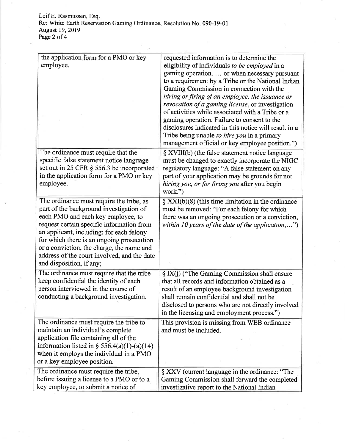Leif E. Rasmussen, Esq.<br>Re: White Earth Reservation Gaming Ordinance, Resolution No. 090-19-01<br>August 19, 2019<br>Page 2 of 4

| the application form for a PMO or key<br>employee.                                                                                                                                                                                                                                                                                                                                      | requested information is to determine the<br>eligibility of individuals to be employed in a<br>gaming operation.  or when necessary pursuant<br>to a requirement by a Tribe or the National Indian<br>Gaming Commission in connection with the<br>hiring or firing of an employee, the issuance or<br>revocation of a gaming license, or investigation<br>of activities while associated with a Tribe or a<br>gaming operation. Failure to consent to the<br>disclosures indicated in this notice will result in a<br>Tribe being unable to hire you in a primary<br>management official or key employee position.") |
|-----------------------------------------------------------------------------------------------------------------------------------------------------------------------------------------------------------------------------------------------------------------------------------------------------------------------------------------------------------------------------------------|----------------------------------------------------------------------------------------------------------------------------------------------------------------------------------------------------------------------------------------------------------------------------------------------------------------------------------------------------------------------------------------------------------------------------------------------------------------------------------------------------------------------------------------------------------------------------------------------------------------------|
| The ordinance must require that the<br>specific false statement notice language<br>set out in 25 CFR § 556.3 be incorporated<br>in the application form for a PMO or key<br>employee.                                                                                                                                                                                                   | § XVIII(b) (the false statement notice language<br>must be changed to exactly incorporate the NIGC<br>regulatory language: "A false statement on any<br>part of your application may be grounds for not<br>hiring you, or for firing you after you begin<br>work.")                                                                                                                                                                                                                                                                                                                                                  |
| The ordinance must require the tribe, as<br>part of the background investigation of<br>each PMO and each key employee, to<br>request certain specific information from<br>an applicant, including: for each felony<br>for which there is an ongoing prosecution<br>or a conviction, the charge, the name and<br>address of the court involved, and the date<br>and disposition, if any; | $\S$ XXI(b)(8) (this time limitation in the ordinance<br>must be removed: "For each felony for which<br>there was an ongoing prosecution or a conviction,<br>within 10 years of the date of the application,")                                                                                                                                                                                                                                                                                                                                                                                                       |
| The ordinance must require that the tribe<br>keep confidential the identity of each<br>person interviewed in the course of<br>conducting a background investigation.                                                                                                                                                                                                                    | § IX(j) ("The Gaming Commission shall ensure<br>that all records and information obtained as a<br>result of an employee background investigation<br>shall remain confidential and shall not be<br>disclosed to persons who are not directly involved<br>in the licensing and employment process.")                                                                                                                                                                                                                                                                                                                   |
| The ordinance must require the tribe to<br>maintain an individual's complete<br>application file containing all of the<br>information listed in $\S$ 556.4(a)(1)-(a)(14)<br>when it employs the individual in a PMO<br>or a key employee position.                                                                                                                                      | This provision is missing from WEB ordinance<br>and must be included.                                                                                                                                                                                                                                                                                                                                                                                                                                                                                                                                                |
| The ordinance must require the tribe,<br>before issuing a license to a PMO or to a<br>key employee, to submit a notice of                                                                                                                                                                                                                                                               | § XXV (current language in the ordinance: "The<br>Gaming Commission shall forward the completed<br>investigative report to the National Indian                                                                                                                                                                                                                                                                                                                                                                                                                                                                       |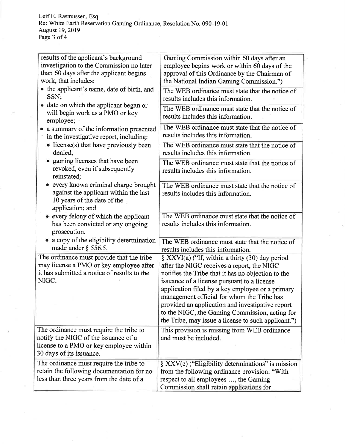Leif E. Rasmussen, Esq.<br>Re: White Earth Reservation Gaming Ordinance, Resolution No. 090-19-01<br>August 19, 2019<br>Page 3 of 4

| results of the applicant's background<br>investigation to the Commission no later<br>than 60 days after the applicant begins<br>work, that includes:   | Gaming Commission within 60 days after an<br>employee begins work or within 60 days of the<br>approval of this Ordinance by the Chairman of<br>the National Indian Gaming Commission.")                                                                                                                                                                                                                                                                              |
|--------------------------------------------------------------------------------------------------------------------------------------------------------|----------------------------------------------------------------------------------------------------------------------------------------------------------------------------------------------------------------------------------------------------------------------------------------------------------------------------------------------------------------------------------------------------------------------------------------------------------------------|
| • the applicant's name, date of birth, and<br>SSN;                                                                                                     | The WEB ordinance must state that the notice of<br>results includes this information.                                                                                                                                                                                                                                                                                                                                                                                |
| • date on which the applicant began or<br>will begin work as a PMO or key<br>employee;                                                                 | The WEB ordinance must state that the notice of<br>results includes this information.                                                                                                                                                                                                                                                                                                                                                                                |
| a summary of the information presented<br>in the investigative report, including:                                                                      | The WEB ordinance must state that the notice of<br>results includes this information.                                                                                                                                                                                                                                                                                                                                                                                |
| • license(s) that have previously been<br>denied;                                                                                                      | The WEB ordinance must state that the notice of<br>results includes this information.                                                                                                                                                                                                                                                                                                                                                                                |
| • gaming licenses that have been<br>revoked, even if subsequently<br>reinstated;                                                                       | The WEB ordinance must state that the notice of<br>results includes this information.                                                                                                                                                                                                                                                                                                                                                                                |
| every known criminal charge brought<br>$\bullet$<br>against the applicant within the last<br>10 years of the date of the<br>application; and           | The WEB ordinance must state that the notice of<br>results includes this information.                                                                                                                                                                                                                                                                                                                                                                                |
| • every felony of which the applicant<br>has been convicted or any ongoing<br>prosecution.                                                             | The WEB ordinance must state that the notice of<br>results includes this information.                                                                                                                                                                                                                                                                                                                                                                                |
| • a copy of the eligibility determination<br>made under $\S$ 556.5.                                                                                    | The WEB ordinance must state that the notice of<br>results includes this information.                                                                                                                                                                                                                                                                                                                                                                                |
| The ordinance must provide that the tribe<br>may license a PMO or key employee after<br>it has submitted a notice of results to the<br>NIGC.           | $\S$ XXVI(a) ("If, within a thirty (30) day period<br>after the NIGC receives a report, the NIGC<br>notifies the Tribe that it has no objection to the<br>issuance of a license pursuant to a license<br>application filed by a key employee or a primary<br>management official for whom the Tribe has<br>provided an application and investigative report<br>to the NIGC, the Gaming Commission, acting for<br>the Tribe, may issue a license to such applicant.") |
| The ordinance must require the tribe to<br>notify the NIGC of the issuance of a<br>license to a PMO or key employee within<br>30 days of its issuance. | This provision is missing from WEB ordinance<br>and must be included.                                                                                                                                                                                                                                                                                                                                                                                                |
| The ordinance must require the tribe to<br>retain the following documentation for no<br>less than three years from the date of a                       | $\S$ XXV(e) ("Eligibility determinations" is mission<br>from the following ordinance provision: "With<br>respect to all employees , the Gaming<br>Commission shall retain applications for                                                                                                                                                                                                                                                                           |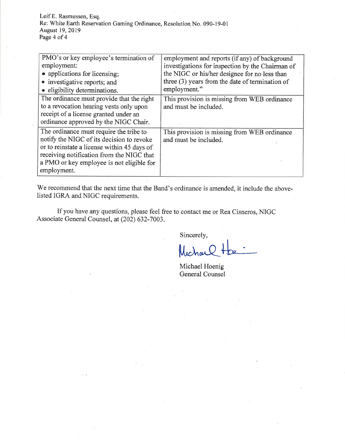Leif E. Rasmussen, Esq. Re: White Earth Reservation Gaming Ordinance, Resolution No. 090-19-01 August 19, 2019 Page 4 of 4

| PMO's or key employee's termination of<br>employment:<br>• applications for licensing;                                                                                                                                                       | employment and reports (if any) of background<br>investigations for inspection by the Chairman of<br>the NIGC or his/her designee for no less than<br>three (3) years from the date of termination of |
|----------------------------------------------------------------------------------------------------------------------------------------------------------------------------------------------------------------------------------------------|-------------------------------------------------------------------------------------------------------------------------------------------------------------------------------------------------------|
| • investigative reports; and<br>· eligibility determinations.                                                                                                                                                                                | employment."                                                                                                                                                                                          |
| The ordinance must provide that the right<br>to a revocation hearing vests only upon<br>receipt of a license granted under an<br>ordinance approved by the NIGC Chair.                                                                       | This provision is missing from WEB ordinance<br>and must be included.                                                                                                                                 |
| The ordinance must require the tribe to<br>notify the NIGC of its decision to revoke<br>or to reinstate a license within 45 days of<br>receiving notification from the NIGC that<br>a PMO or key employee is not eligible for<br>employment. | This provision is missing from WEB ordinance<br>and must be included.                                                                                                                                 |

We recommend that the next time that the Band's ordinance is amended, it include the abovelisted IGRA and NIGC requirements.

If you have any questions, please feel free to contact me or Rea Cisneros, NIGC Associate General Counsel, at (202) 632-7003.

Sincerely,

Michar

Michael Hoenig General Counsel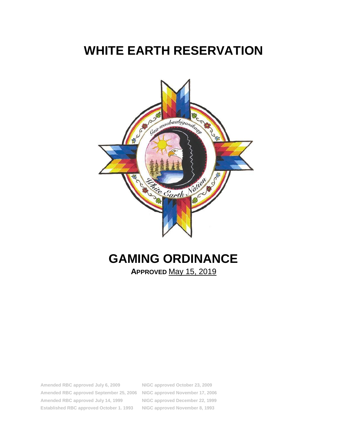# **WHITE EARTH RESERVATION**



# **GAMING ORDINANCE**

**APPROVED** May 15, 2019

**Amended RBC approved July 6, 2009 NIGC approved October 23, 2009 Amended RBC approved September 25, 2006 NIGC approved November 17, 2006 Amended RBC approved July 14, 1999 NIGC approved December 22, 1999 Established RBC approved October 1. 1993 NIGC approved November 8, 1993**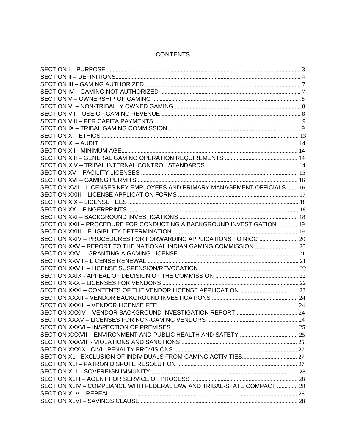| SECTION XVII - LICENSES KEY EMPLOYEES AND PRIMARY MANAGEMENT OFFICIALS  16 |  |
|----------------------------------------------------------------------------|--|
|                                                                            |  |
|                                                                            |  |
|                                                                            |  |
|                                                                            |  |
| SECTION XXII - PROCEDURE FOR CONDUCTING A BACKGROUND INVESTIGATION  19     |  |
|                                                                            |  |
| SECTION XXIV - PROCEDURES FOR FORWARDING APPLICATIONS TO NIGC  20          |  |
| SECTION XXV - REPORT TO THE NATIONAL INDIAN GAMING COMMISSION  20          |  |
|                                                                            |  |
|                                                                            |  |
|                                                                            |  |
|                                                                            |  |
|                                                                            |  |
|                                                                            |  |
|                                                                            |  |
|                                                                            |  |
|                                                                            |  |
|                                                                            |  |
|                                                                            |  |
|                                                                            |  |
|                                                                            |  |
|                                                                            |  |
|                                                                            |  |
|                                                                            |  |
|                                                                            |  |
|                                                                            |  |
| SECTION XLIV - COMPLIANCE WITH FEDERAL LAW AND TRIBAL-STATE COMPACT  28    |  |
|                                                                            |  |
|                                                                            |  |

# **CONTENTS**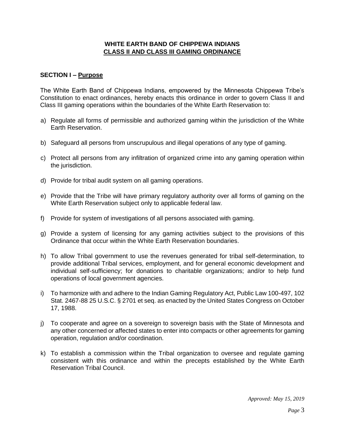#### **WHITE EARTH BAND OF CHIPPEWA INDIANS CLASS II AND CLASS III GAMING ORDINANCE**

#### **SECTION I – Purpose**

The White Earth Band of Chippewa Indians, empowered by the Minnesota Chippewa Tribe's Constitution to enact ordinances, hereby enacts this ordinance in order to govern Class II and Class III gaming operations within the boundaries of the White Earth Reservation to:

- a) Regulate all forms of permissible and authorized gaming within the jurisdiction of the White Earth Reservation.
- b) Safeguard all persons from unscrupulous and illegal operations of any type of gaming.
- c) Protect all persons from any infiltration of organized crime into any gaming operation within the jurisdiction.
- d) Provide for tribal audit system on all gaming operations.
- e) Provide that the Tribe will have primary regulatory authority over all forms of gaming on the White Earth Reservation subject only to applicable federal law.
- f) Provide for system of investigations of all persons associated with gaming.
- g) Provide a system of licensing for any gaming activities subject to the provisions of this Ordinance that occur within the White Earth Reservation boundaries.
- h) To allow Tribal government to use the revenues generated for tribal self-determination, to provide additional Tribal services, employment, and for general economic development and individual self-sufficiency; for donations to charitable organizations; and/or to help fund operations of local government agencies.
- i) To harmonize with and adhere to the Indian Gaming Regulatory Act, Public Law 100-497, 102 Stat. 2467-88 25 U.S.C. § 2701 et seq. as enacted by the United States Congress on October 17, 1988.
- j) To cooperate and agree on a sovereign to sovereign basis with the State of Minnesota and any other concerned or affected states to enter into compacts or other agreements for gaming operation, regulation and/or coordination.
- k) To establish a commission within the Tribal organization to oversee and regulate gaming consistent with this ordinance and within the precepts established by the White Earth Reservation Tribal Council.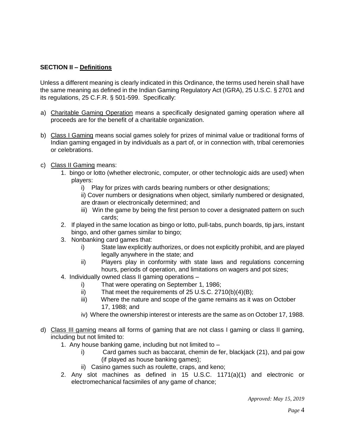# **SECTION II – Definitions**

Unless a different meaning is clearly indicated in this Ordinance, the terms used herein shall have the same meaning as defined in the Indian Gaming Regulatory Act (IGRA), 25 U.S.C. § 2701 and its regulations, 25 C.F.R. § 501-599. Specifically:

- a) Charitable Gaming Operation means a specifically designated gaming operation where all proceeds are for the benefit of a charitable organization.
- b) Class I Gaming means social games solely for prizes of minimal value or traditional forms of Indian gaming engaged in by individuals as a part of, or in connection with, tribal ceremonies or celebrations.
- c) Class II Gaming means:
	- 1. bingo or lotto (whether electronic, computer, or other technologic aids are used) when players:
		- i) Play for prizes with cards bearing numbers or other designations;
		- ii) Cover numbers or designations when object, similarly numbered or designated, are drawn or electronically determined; and
		- iii) Win the game by being the first person to cover a designated pattern on such cards;
	- 2. If played in the same location as bingo or lotto, pull-tabs, punch boards, tip jars, instant bingo, and other games similar to bingo;
	- 3. Nonbanking card games that:
		- i) State law explicitly authorizes, or does not explicitly prohibit, and are played legally anywhere in the state; and
		- ii) Players play in conformity with state laws and regulations concerning hours, periods of operation, and limitations on wagers and pot sizes;
	- 4. Individually owned class II gaming operations
		- i) That were operating on September 1, 1986;
		- ii) That meet the requirements of 25 U.S.C. 2710(b)(4)(B);
		- iii) Where the nature and scope of the game remains as it was on October 17, 1988; and
		- iv) Where the ownership interest or interests are the same as on October 17, 1988.
- d) Class III gaming means all forms of gaming that are not class I gaming or class II gaming, including but not limited to:
	- 1. Any house banking game, including but not limited to
		- i) Card games such as baccarat, chemin de fer, blackjack (21), and pai gow (if played as house banking games);
		- ii) Casino games such as roulette, craps, and keno;
	- 2. Any slot machines as defined in 15 U.S.C. 1171(a)(1) and electronic or electromechanical facsimiles of any game of chance;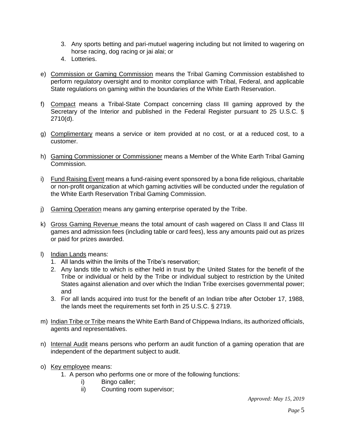- 3. Any sports betting and pari-mutuel wagering including but not limited to wagering on horse racing, dog racing or jai alai; or
- 4. Lotteries.
- e) Commission or Gaming Commission means the Tribal Gaming Commission established to perform regulatory oversight and to monitor compliance with Tribal, Federal, and applicable State regulations on gaming within the boundaries of the White Earth Reservation.
- f) Compact means a Tribal-State Compact concerning class III gaming approved by the Secretary of the Interior and published in the Federal Register pursuant to 25 U.S.C. § 2710(d).
- g) Complimentary means a service or item provided at no cost, or at a reduced cost, to a customer.
- h) Gaming Commissioner or Commissioner means a Member of the White Earth Tribal Gaming Commission.
- i) Fund Raising Event means a fund-raising event sponsored by a bona fide religious, charitable or non-profit organization at which gaming activities will be conducted under the regulation of the White Earth Reservation Tribal Gaming Commission.
- j) Gaming Operation means any gaming enterprise operated by the Tribe.
- k) Gross Gaming Revenue means the total amount of cash wagered on Class II and Class III games and admission fees (including table or card fees), less any amounts paid out as prizes or paid for prizes awarded.
- l) Indian Lands means:
	- 1. All lands within the limits of the Tribe's reservation;
	- 2. Any lands title to which is either held in trust by the United States for the benefit of the Tribe or individual or held by the Tribe or individual subject to restriction by the United States against alienation and over which the Indian Tribe exercises governmental power; and
	- 3. For all lands acquired into trust for the benefit of an Indian tribe after October 17, 1988, the lands meet the requirements set forth in 25 U.S.C. § 2719.
- m) Indian Tribe or Tribe means the White Earth Band of Chippewa Indians, its authorized officials, agents and representatives.
- n) Internal Audit means persons who perform an audit function of a gaming operation that are independent of the department subject to audit.
- o) Key employee means:
	- 1. A person who performs one or more of the following functions:
		- i) Bingo caller;
		- ii) Counting room supervisor;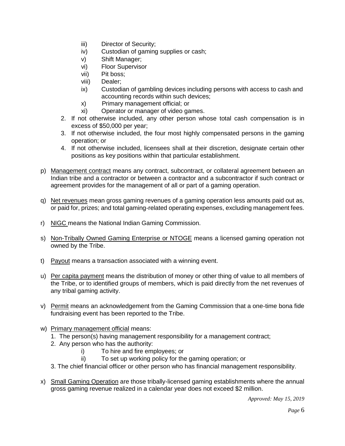- iii) Director of Security;
- iv) Custodian of gaming supplies or cash;
- v) Shift Manager;
- vi) Floor Supervisor
- vii) Pit boss;
- viii) Dealer;
- ix) Custodian of gambling devices including persons with access to cash and accounting records within such devices;
- x) Primary management official; or
- xi) Operator or manager of video games.
- 2. If not otherwise included, any other person whose total cash compensation is in excess of \$50,000 per year;
- 3. If not otherwise included, the four most highly compensated persons in the gaming operation; or
- 4. If not otherwise included, licensees shall at their discretion, designate certain other positions as key positions within that particular establishment.
- p) Management contract means any contract, subcontract, or collateral agreement between an Indian tribe and a contractor or between a contractor and a subcontractor if such contract or agreement provides for the management of all or part of a gaming operation.
- q) Net revenues mean gross gaming revenues of a gaming operation less amounts paid out as, or paid for, prizes; and total gaming-related operating expenses, excluding management fees.
- r) NIGC means the National Indian Gaming Commission.
- s) Non-Tribally Owned Gaming Enterprise or NTOGE means a licensed gaming operation not owned by the Tribe.
- t) Payout means a transaction associated with a winning event.
- u) Per capita payment means the distribution of money or other thing of value to all members of the Tribe, or to identified groups of members, which is paid directly from the net revenues of any tribal gaming activity.
- v) Permit means an acknowledgement from the Gaming Commission that a one-time bona fide fundraising event has been reported to the Tribe.
- w) Primary management official means:
	- 1. The person(s) having management responsibility for a management contract;
	- 2. Any person who has the authority:
		- i) To hire and fire employees; or
		- ii) To set up working policy for the gaming operation; or
	- 3. The chief financial officer or other person who has financial management responsibility.
- x) Small Gaming Operation are those tribally-licensed gaming establishments where the annual gross gaming revenue realized in a calendar year does not exceed \$2 million.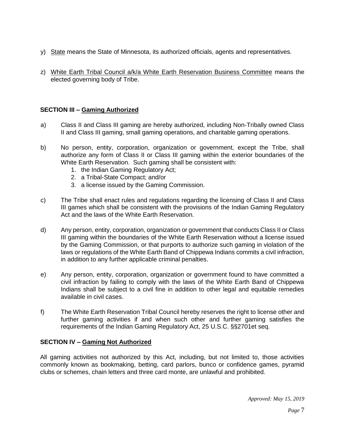- y) State means the State of Minnesota, its authorized officials, agents and representatives.
- z) White Earth Tribal Council a/k/a White Earth Reservation Business Committee means the elected governing body of Tribe.

#### **SECTION III – Gaming Authorized**

- a) Class II and Class III gaming are hereby authorized, including Non-Tribally owned Class II and Class III gaming, small gaming operations, and charitable gaming operations.
- b) No person, entity, corporation, organization or government, except the Tribe, shall authorize any form of Class II or Class III gaming within the exterior boundaries of the White Earth Reservation. Such gaming shall be consistent with:
	- 1. the Indian Gaming Regulatory Act;
	- 2. a Tribal-State Compact; and/or
	- 3. a license issued by the Gaming Commission.
- c) The Tribe shall enact rules and regulations regarding the licensing of Class II and Class III games which shall be consistent with the provisions of the Indian Gaming Regulatory Act and the laws of the White Earth Reservation.
- d) Any person, entity, corporation, organization or government that conducts Class II or Class III gaming within the boundaries of the White Earth Reservation without a license issued by the Gaming Commission, or that purports to authorize such gaming in violation of the laws or regulations of the White Earth Band of Chippewa Indians commits a civil infraction, in addition to any further applicable criminal penalties.
- e) Any person, entity, corporation, organization or government found to have committed a civil infraction by failing to comply with the laws of the White Earth Band of Chippewa Indians shall be subject to a civil fine in addition to other legal and equitable remedies available in civil cases.
- f) The White Earth Reservation Tribal Council hereby reserves the right to license other and further gaming activities if and when such other and further gaming satisfies the requirements of the Indian Gaming Regulatory Act, 25 U.S.C. §§2701et seq.

# **SECTION IV – Gaming Not Authorized**

All gaming activities not authorized by this Act, including, but not limited to, those activities commonly known as bookmaking, betting, card parlors, bunco or confidence games, pyramid clubs or schemes, chain letters and three card monte, are unlawful and prohibited.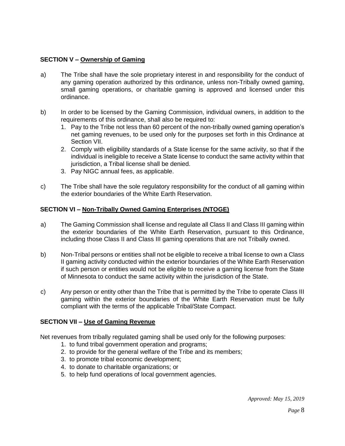#### **SECTION V – Ownership of Gaming**

- a) The Tribe shall have the sole proprietary interest in and responsibility for the conduct of any gaming operation authorized by this ordinance, unless non-Tribally owned gaming, small gaming operations, or charitable gaming is approved and licensed under this ordinance.
- b) In order to be licensed by the Gaming Commission, individual owners, in addition to the requirements of this ordinance, shall also be required to:
	- 1. Pay to the Tribe not less than 60 percent of the non-tribally owned gaming operation's net gaming revenues, to be used only for the purposes set forth in this Ordinance at Section VII.
	- 2. Comply with eligibility standards of a State license for the same activity, so that if the individual is ineligible to receive a State license to conduct the same activity within that jurisdiction, a Tribal license shall be denied.
	- 3. Pay NIGC annual fees, as applicable.
- c) The Tribe shall have the sole regulatory responsibility for the conduct of all gaming within the exterior boundaries of the White Earth Reservation.

#### **SECTION VI – Non-Tribally Owned Gaming Enterprises (NTOGE)**

- a) The Gaming Commission shall license and regulate all Class II and Class III gaming within the exterior boundaries of the White Earth Reservation, pursuant to this Ordinance, including those Class II and Class III gaming operations that are not Tribally owned.
- b) Non-Tribal persons or entities shall not be eligible to receive a tribal license to own a Class II gaming activity conducted within the exterior boundaries of the White Earth Reservation if such person or entities would not be eligible to receive a gaming license from the State of Minnesota to conduct the same activity within the jurisdiction of the State.
- c) Any person or entity other than the Tribe that is permitted by the Tribe to operate Class III gaming within the exterior boundaries of the White Earth Reservation must be fully compliant with the terms of the applicable Tribal/State Compact.

#### **SECTION VII – Use of Gaming Revenue**

Net revenues from tribally regulated gaming shall be used only for the following purposes:

- 1. to fund tribal government operation and programs;
- 2. to provide for the general welfare of the Tribe and its members;
- 3. to promote tribal economic development;
- 4. to donate to charitable organizations; or
- 5. to help fund operations of local government agencies.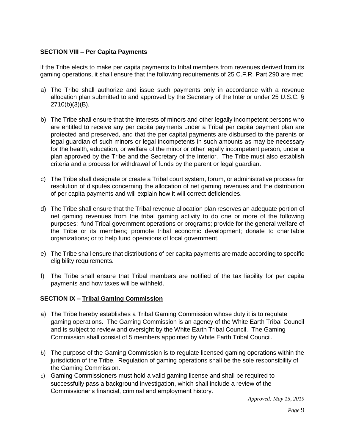#### **SECTION VIII – Per Capita Payments**

If the Tribe elects to make per capita payments to tribal members from revenues derived from its gaming operations, it shall ensure that the following requirements of 25 C.F.R. Part 290 are met:

- a) The Tribe shall authorize and issue such payments only in accordance with a revenue allocation plan submitted to and approved by the Secretary of the Interior under 25 U.S.C. § 2710(b)(3)(B).
- b) The Tribe shall ensure that the interests of minors and other legally incompetent persons who are entitled to receive any per capita payments under a Tribal per capita payment plan are protected and preserved, and that the per capital payments are disbursed to the parents or legal guardian of such minors or legal incompetents in such amounts as may be necessary for the health, education, or welfare of the minor or other legally incompetent person, under a plan approved by the Tribe and the Secretary of the Interior. The Tribe must also establish criteria and a process for withdrawal of funds by the parent or legal guardian.
- c) The Tribe shall designate or create a Tribal court system, forum, or administrative process for resolution of disputes concerning the allocation of net gaming revenues and the distribution of per capita payments and will explain how it will correct deficiencies.
- d) The Tribe shall ensure that the Tribal revenue allocation plan reserves an adequate portion of net gaming revenues from the tribal gaming activity to do one or more of the following purposes: fund Tribal government operations or programs; provide for the general welfare of the Tribe or its members; promote tribal economic development; donate to charitable organizations; or to help fund operations of local government.
- e) The Tribe shall ensure that distributions of per capita payments are made according to specific eligibility requirements.
- f) The Tribe shall ensure that Tribal members are notified of the tax liability for per capita payments and how taxes will be withheld.

# **SECTION IX – Tribal Gaming Commission**

- a) The Tribe hereby establishes a Tribal Gaming Commission whose duty it is to regulate gaming operations. The Gaming Commission is an agency of the White Earth Tribal Council and is subject to review and oversight by the White Earth Tribal Council. The Gaming Commission shall consist of 5 members appointed by White Earth Tribal Council.
- b) The purpose of the Gaming Commission is to regulate licensed gaming operations within the jurisdiction of the Tribe. Regulation of gaming operations shall be the sole responsibility of the Gaming Commission.
- c) Gaming Commissioners must hold a valid gaming license and shall be required to successfully pass a background investigation, which shall include a review of the Commissioner's financial, criminal and employment history.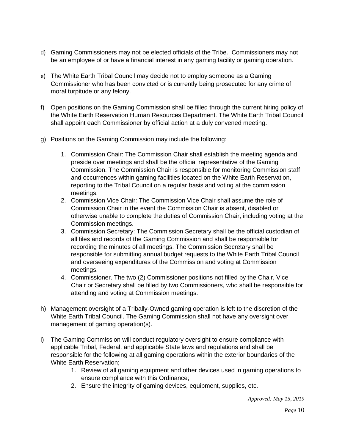- d) Gaming Commissioners may not be elected officials of the Tribe. Commissioners may not be an employee of or have a financial interest in any gaming facility or gaming operation.
- e) The White Earth Tribal Council may decide not to employ someone as a Gaming Commissioner who has been convicted or is currently being prosecuted for any crime of moral turpitude or any felony.
- f) Open positions on the Gaming Commission shall be filled through the current hiring policy of the White Earth Reservation Human Resources Department. The White Earth Tribal Council shall appoint each Commissioner by official action at a duly convened meeting.
- g) Positions on the Gaming Commission may include the following:
	- 1. Commission Chair: The Commission Chair shall establish the meeting agenda and preside over meetings and shall be the official representative of the Gaming Commission. The Commission Chair is responsible for monitoring Commission staff and occurrences within gaming facilities located on the White Earth Reservation, reporting to the Tribal Council on a regular basis and voting at the commission meetings.
	- 2. Commission Vice Chair: The Commission Vice Chair shall assume the role of Commission Chair in the event the Commission Chair is absent, disabled or otherwise unable to complete the duties of Commission Chair, including voting at the Commission meetings.
	- 3. Commission Secretary: The Commission Secretary shall be the official custodian of all files and records of the Gaming Commission and shall be responsible for recording the minutes of all meetings. The Commission Secretary shall be responsible for submitting annual budget requests to the White Earth Tribal Council and overseeing expenditures of the Commission and voting at Commission meetings.
	- 4. Commissioner. The two (2) Commissioner positions not filled by the Chair, Vice Chair or Secretary shall be filled by two Commissioners, who shall be responsible for attending and voting at Commission meetings.
- h) Management oversight of a Tribally-Owned gaming operation is left to the discretion of the White Earth Tribal Council. The Gaming Commission shall not have any oversight over management of gaming operation(s).
- i) The Gaming Commission will conduct regulatory oversight to ensure compliance with applicable Tribal, Federal, and applicable State laws and regulations and shall be responsible for the following at all gaming operations within the exterior boundaries of the White Earth Reservation;
	- 1. Review of all gaming equipment and other devices used in gaming operations to ensure compliance with this Ordinance;
	- 2. Ensure the integrity of gaming devices, equipment, supplies, etc.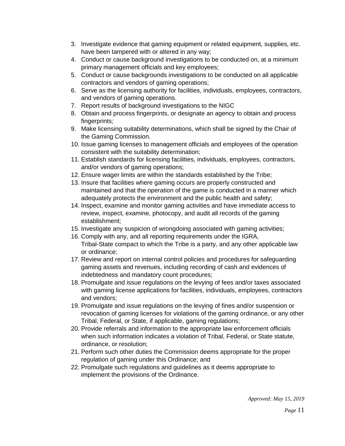- 3. Investigate evidence that gaming equipment or related equipment, supplies, etc. have been tampered with or altered in any way;
- 4. Conduct or cause background investigations to be conducted on, at a minimum primary management officials and key employees;
- 5. Conduct or cause backgrounds investigations to be conducted on all applicable contractors and vendors of gaming operations;
- 6. Serve as the licensing authority for facilities, individuals, employees, contractors, and vendors of gaming operations.
- 7. Report results of background investigations to the NIGC
- 8. Obtain and process fingerprints, or designate an agency to obtain and process fingerprints;
- 9. Make licensing suitability determinations, which shall be signed by the Chair of the Gaming Commission.
- 10. Issue gaming licenses to management officials and employees of the operation consistent with the suitability determination;
- 11. Establish standards for licensing facilities, individuals, employees, contractors, and/or vendors of gaming operations;
- 12. Ensure wager limits are within the standards established by the Tribe;
- 13. Insure that facilities where gaming occurs are properly constructed and maintained and that the operation of the game is conducted in a manner which adequately protects the environment and the public health and safety;
- 14. Inspect, examine and monitor gaming activities and have immediate access to review, inspect, examine, photocopy, and audit all records of the gaming establishment;
- 15. Investigate any suspicion of wrongdoing associated with gaming activities;
- 16. Comply with any, and all reporting requirements under the IGRA, Tribal-State compact to which the Tribe is a party, and any other applicable law or ordinance;
- 17. Review and report on internal control policies and procedures for safeguarding gaming assets and revenues, including recording of cash and evidences of indebtedness and mandatory count procedures;
- 18. Promulgate and issue regulations on the levying of fees and/or taxes associated with gaming license applications for facilities, individuals, employees, contractors and vendors;
- 19. Promulgate and issue regulations on the levying of fines and/or suspension or revocation of gaming licenses for violations of the gaming ordinance, or any other Tribal, Federal, or State, if applicable, gaming regulations;
- 20. Provide referrals and information to the appropriate law enforcement officials when such information indicates a violation of Tribal, Federal, or State statute, ordinance, or resolution;
- 21. Perform such other duties the Commission deems appropriate for the proper regulation of gaming under this Ordinance; and
- 22. Promulgate such regulations and guidelines as it deems appropriate to implement the provisions of the Ordinance.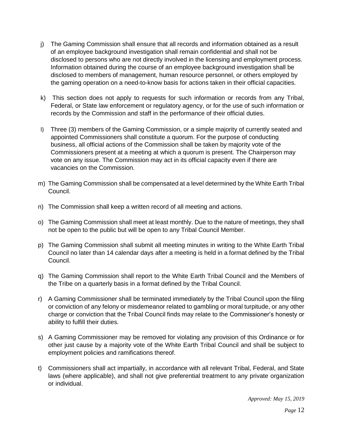- j) The Gaming Commission shall ensure that all records and information obtained as a result of an employee background investigation shall remain confidential and shall not be disclosed to persons who are not directly involved in the licensing and employment process. Information obtained during the course of an employee background investigation shall be disclosed to members of management, human resource personnel, or others employed by the gaming operation on a need-to-know basis for actions taken in their official capacities.
- k) This section does not apply to requests for such information or records from any Tribal, Federal, or State law enforcement or regulatory agency, or for the use of such information or records by the Commission and staff in the performance of their official duties.
- l) Three (3) members of the Gaming Commission, or a simple majority of currently seated and appointed Commissioners shall constitute a quorum. For the purpose of conducting business, all official actions of the Commission shall be taken by majority vote of the Commissioners present at a meeting at which a quorum is present. The Chairperson may vote on any issue. The Commission may act in its official capacity even if there are vacancies on the Commission.
- m) The Gaming Commission shall be compensated at a level determined by the White Earth Tribal Council.
- n) The Commission shall keep a written record of all meeting and actions.
- o) The Gaming Commission shall meet at least monthly. Due to the nature of meetings, they shall not be open to the public but will be open to any Tribal Council Member.
- p) The Gaming Commission shall submit all meeting minutes in writing to the White Earth Tribal Council no later than 14 calendar days after a meeting is held in a format defined by the Tribal Council.
- q) The Gaming Commission shall report to the White Earth Tribal Council and the Members of the Tribe on a quarterly basis in a format defined by the Tribal Council.
- r) A Gaming Commissioner shall be terminated immediately by the Tribal Council upon the filing or conviction of any felony or misdemeanor related to gambling or moral turpitude, or any other charge or conviction that the Tribal Council finds may relate to the Commissioner's honesty or ability to fulfill their duties.
- s) A Gaming Commissioner may be removed for violating any provision of this Ordinance or for other just cause by a majority vote of the White Earth Tribal Council and shall be subject to employment policies and ramifications thereof.
- t) Commissioners shall act impartially, in accordance with all relevant Tribal, Federal, and State laws (where applicable), and shall not give preferential treatment to any private organization or individual.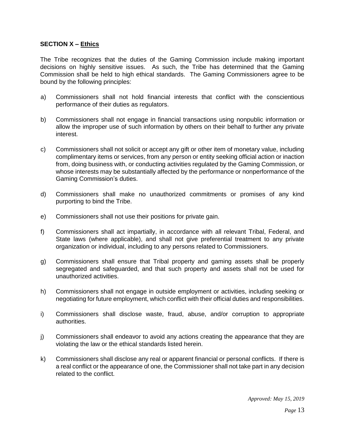#### **SECTION X – Ethics**

The Tribe recognizes that the duties of the Gaming Commission include making important decisions on highly sensitive issues. As such, the Tribe has determined that the Gaming Commission shall be held to high ethical standards. The Gaming Commissioners agree to be bound by the following principles:

- a) Commissioners shall not hold financial interests that conflict with the conscientious performance of their duties as regulators.
- b) Commissioners shall not engage in financial transactions using nonpublic information or allow the improper use of such information by others on their behalf to further any private interest.
- c) Commissioners shall not solicit or accept any gift or other item of monetary value, including complimentary items or services, from any person or entity seeking official action or inaction from, doing business with, or conducting activities regulated by the Gaming Commission, or whose interests may be substantially affected by the performance or nonperformance of the Gaming Commission's duties.
- d) Commissioners shall make no unauthorized commitments or promises of any kind purporting to bind the Tribe.
- e) Commissioners shall not use their positions for private gain.
- f) Commissioners shall act impartially, in accordance with all relevant Tribal, Federal, and State laws (where applicable), and shall not give preferential treatment to any private organization or individual, including to any persons related to Commissioners.
- g) Commissioners shall ensure that Tribal property and gaming assets shall be properly segregated and safeguarded, and that such property and assets shall not be used for unauthorized activities.
- h) Commissioners shall not engage in outside employment or activities, including seeking or negotiating for future employment, which conflict with their official duties and responsibilities.
- i) Commissioners shall disclose waste, fraud, abuse, and/or corruption to appropriate authorities.
- j) Commissioners shall endeavor to avoid any actions creating the appearance that they are violating the law or the ethical standards listed herein.
- k) Commissioners shall disclose any real or apparent financial or personal conflicts. If there is a real conflict or the appearance of one, the Commissioner shall not take part in any decision related to the conflict.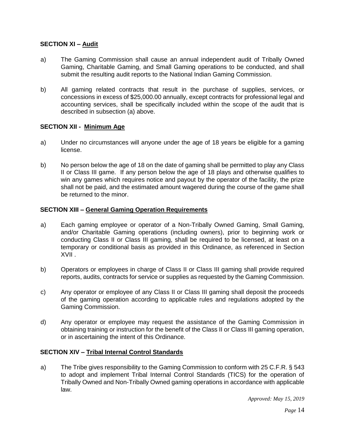# **SECTION XI – Audit**

- a) The Gaming Commission shall cause an annual independent audit of Tribally Owned Gaming, Charitable Gaming, and Small Gaming operations to be conducted, and shall submit the resulting audit reports to the National Indian Gaming Commission.
- b) All gaming related contracts that result in the purchase of supplies, services, or concessions in excess of \$25,000.00 annually, except contracts for professional legal and accounting services, shall be specifically included within the scope of the audit that is described in subsection (a) above.

## **SECTION XII - Minimum Age**

- a) Under no circumstances will anyone under the age of 18 years be eligible for a gaming license.
- b) No person below the age of 18 on the date of gaming shall be permitted to play any Class II or Class III game. If any person below the age of 18 plays and otherwise qualifies to win any games which requires notice and payout by the operator of the facility, the prize shall not be paid, and the estimated amount wagered during the course of the game shall be returned to the minor.

#### **SECTION XIII – General Gaming Operation Requirements**

- a) Each gaming employee or operator of a Non-Tribally Owned Gaming, Small Gaming, and/or Charitable Gaming operations (including owners), prior to beginning work or conducting Class II or Class III gaming, shall be required to be licensed, at least on a temporary or conditional basis as provided in this Ordinance, as referenced in Section XVII .
- b) Operators or employees in charge of Class II or Class III gaming shall provide required reports, audits, contracts for service or supplies as requested by the Gaming Commission.
- c) Any operator or employee of any Class II or Class III gaming shall deposit the proceeds of the gaming operation according to applicable rules and regulations adopted by the Gaming Commission.
- d) Any operator or employee may request the assistance of the Gaming Commission in obtaining training or instruction for the benefit of the Class II or Class III gaming operation, or in ascertaining the intent of this Ordinance.

#### **SECTION XIV – Tribal Internal Control Standards**

a) The Tribe gives responsibility to the Gaming Commission to conform with 25 C.F.R. § 543 to adopt and implement Tribal Internal Control Standards (TICS) for the operation of Tribally Owned and Non-Tribally Owned gaming operations in accordance with applicable law.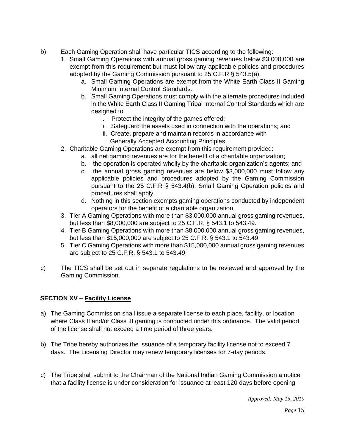- b) Each Gaming Operation shall have particular TICS according to the following:
	- 1. Small Gaming Operations with annual gross gaming revenues below \$3,000,000 are exempt from this requirement but must follow any applicable policies and procedures adopted by the Gaming Commission pursuant to 25 C.F.R § 543.5(a).
		- a. Small Gaming Operations are exempt from the White Earth Class II Gaming Minimum Internal Control Standards.
		- b. Small Gaming Operations must comply with the alternate procedures included in the White Earth Class II Gaming Tribal Internal Control Standards which are designed to
			- i. Protect the integrity of the games offered;
			- ii. Safeguard the assets used in connection with the operations; and
			- iii. Create, prepare and maintain records in accordance with Generally Accepted Accounting Principles.
	- 2. Charitable Gaming Operations are exempt from this requirement provided:
		- a. all net gaming revenues are for the benefit of a charitable organization;
		- b. the operation is operated wholly by the charitable organization's agents; and
		- c. the annual gross gaming revenues are below \$3,000,000 must follow any applicable policies and procedures adopted by the Gaming Commission pursuant to the 25 C.F.R § 543.4(b), Small Gaming Operation policies and procedures shall apply.
		- d. Nothing in this section exempts gaming operations conducted by independent operators for the benefit of a charitable organization.
	- 3. Tier A Gaming Operations with more than \$3,000,000 annual gross gaming revenues, but less than \$8,000,000 are subject to 25 C.F.R. § 543.1 to 543.49.
	- 4. Tier B Gaming Operations with more than \$8,000,000 annual gross gaming revenues, but less than \$15,000,000 are subject to 25 C.F.R. § 543.1 to 543.49
	- 5. Tier C Gaming Operations with more than \$15,000,000 annual gross gaming revenues are subject to 25 C.F.R. § 543.1 to 543.49
- c) The TICS shall be set out in separate regulations to be reviewed and approved by the Gaming Commission.

#### **SECTION XV – Facility License**

- a) The Gaming Commission shall issue a separate license to each place, facility, or location where Class II and/or Class III gaming is conducted under this ordinance. The valid period of the license shall not exceed a time period of three years.
- b) The Tribe hereby authorizes the issuance of a temporary facility license not to exceed 7 days. The Licensing Director may renew temporary licenses for 7-day periods.
- c) The Tribe shall submit to the Chairman of the National Indian Gaming Commission a notice that a facility license is under consideration for issuance at least 120 days before opening

*Approved: May 15, 2019* 

*Page* 15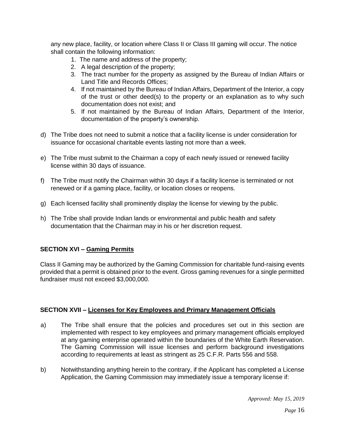any new place, facility, or location where Class II or Class III gaming will occur. The notice shall contain the following information:

- 1. The name and address of the property;
- 2. A legal description of the property;
- 3. The tract number for the property as assigned by the Bureau of Indian Affairs or Land Title and Records Offices;
- 4. If not maintained by the Bureau of Indian Affairs, Department of the Interior, a copy of the trust or other deed(s) to the property or an explanation as to why such documentation does not exist; and
- 5. If not maintained by the Bureau of Indian Affairs, Department of the Interior, documentation of the property's ownership.
- d) The Tribe does not need to submit a notice that a facility license is under consideration for issuance for occasional charitable events lasting not more than a week.
- e) The Tribe must submit to the Chairman a copy of each newly issued or renewed facility license within 30 days of issuance.
- f) The Tribe must notify the Chairman within 30 days if a facility license is terminated or not renewed or if a gaming place, facility, or location closes or reopens.
- g) Each licensed facility shall prominently display the license for viewing by the public.
- h) The Tribe shall provide Indian lands or environmental and public health and safety documentation that the Chairman may in his or her discretion request.

# **SECTION XVI – Gaming Permits**

Class II Gaming may be authorized by the Gaming Commission for charitable fund-raising events provided that a permit is obtained prior to the event. Gross gaming revenues for a single permitted fundraiser must not exceed \$3,000,000.

#### **SECTION XVII – Licenses for Key Employees and Primary Management Officials**

- a) The Tribe shall ensure that the policies and procedures set out in this section are implemented with respect to key employees and primary management officials employed at any gaming enterprise operated within the boundaries of the White Earth Reservation. The Gaming Commission will issue licenses and perform background investigations according to requirements at least as stringent as 25 C.F.R. Parts 556 and 558.
- b) Notwithstanding anything herein to the contrary, if the Applicant has completed a License Application, the Gaming Commission may immediately issue a temporary license if: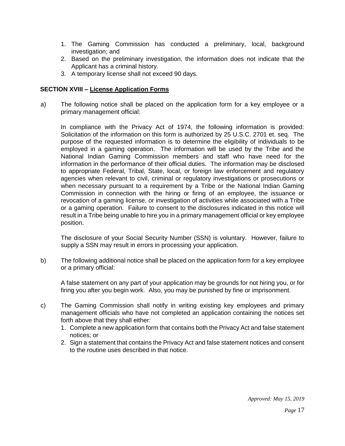- 1. The Gaming Commission has conducted a preliminary, local, background investigation; and
- 2. Based on the preliminary investigation, the information does not indicate that the Applicant has a criminal history.
- 3. A temporary license shall not exceed 90 days.

#### **SECTION XVIII – License Application Forms**

a) The following notice shall be placed on the application form for a key employee or a primary management official:

In compliance with the Privacy Act of 1974, the following information is provided: Solicitation of the information on this form is authorized by 25 U.S.C. 2701 et. seq. The purpose of the requested information is to determine the eligibility of individuals to be employed in a gaming operation. The information will be used by the Tribe and the National Indian Gaming Commission members and staff who have need for the information in the performance of their official duties. The information may be disclosed to appropriate Federal, Tribal, State, local, or foreign law enforcement and regulatory agencies when relevant to civil, criminal or regulatory investigations or prosecutions or when necessary pursuant to a requirement by a Tribe or the National Indian Gaming Commission in connection with the hiring or firing of an employee, the issuance or revocation of a gaming license, or investigation of activities while associated with a Tribe or a gaming operation. Failure to consent to the disclosures indicated in this notice will result in a Tribe being unable to hire you in a primary management official or key employee position.

The disclosure of your Social Security Number (SSN) is voluntary. However, failure to supply a SSN may result in errors in processing your application.

b) The following additional notice shall be placed on the application form for a key employee or a primary official:

A false statement on any part of your application may be grounds for not hiring you, or for firing you after you begin work. Also, you may be punished by fine or imprisonment.

- c) The Gaming Commission shall notify in writing existing key employees and primary management officials who have not completed an application containing the notices set forth above that they shall either:
	- 1. Complete a new application form that contains both the Privacy Act and false statement notices; or
	- 2. Sign a statement that contains the Privacy Act and false statement notices and consent to the routine uses described in that notice.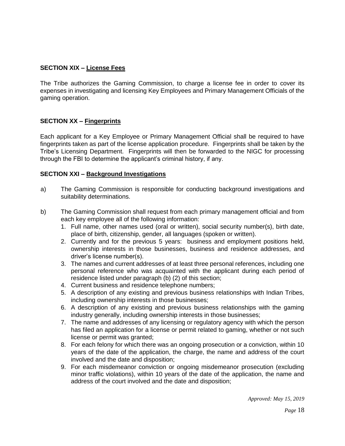## **SECTION XIX – License Fees**

The Tribe authorizes the Gaming Commission, to charge a license fee in order to cover its expenses in investigating and licensing Key Employees and Primary Management Officials of the gaming operation.

#### **SECTION XX – Fingerprints**

Each applicant for a Key Employee or Primary Management Official shall be required to have fingerprints taken as part of the license application procedure. Fingerprints shall be taken by the Tribe's Licensing Department. Fingerprints will then be forwarded to the NIGC for processing through the FBI to determine the applicant's criminal history, if any.

#### **SECTION XXI – Background Investigations**

- a) The Gaming Commission is responsible for conducting background investigations and suitability determinations.
- b) The Gaming Commission shall request from each primary management official and from each key employee all of the following information:
	- 1. Full name, other names used (oral or written), social security number(s), birth date, place of birth, citizenship, gender, all languages (spoken or written).
	- 2. Currently and for the previous 5 years: business and employment positions held, ownership interests in those businesses, business and residence addresses, and driver's license number(s).
	- 3. The names and current addresses of at least three personal references, including one personal reference who was acquainted with the applicant during each period of residence listed under paragraph (b) (2) of this section;
	- 4. Current business and residence telephone numbers;
	- 5. A description of any existing and previous business relationships with Indian Tribes, including ownership interests in those businesses;
	- 6. A description of any existing and previous business relationships with the gaming industry generally, including ownership interests in those businesses;
	- 7. The name and addresses of any licensing or regulatory agency with which the person has filed an application for a license or permit related to gaming, whether or not such license or permit was granted;
	- 8. For each felony for which there was an ongoing prosecution or a conviction, within 10 years of the date of the application, the charge, the name and address of the court involved and the date and disposition;
	- 9. For each misdemeanor conviction or ongoing misdemeanor prosecution (excluding minor traffic violations), within 10 years of the date of the application, the name and address of the court involved and the date and disposition;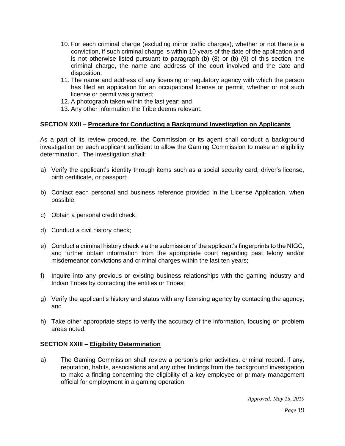- 10. For each criminal charge (excluding minor traffic charges), whether or not there is a conviction, if such criminal charge is within 10 years of the date of the application and is not otherwise listed pursuant to paragraph (b) (8) or (b) (9) of this section, the criminal charge, the name and address of the court involved and the date and disposition.
- 11. The name and address of any licensing or regulatory agency with which the person has filed an application for an occupational license or permit, whether or not such license or permit was granted;
- 12. A photograph taken within the last year; and
- 13. Any other information the Tribe deems relevant.

#### **SECTION XXII – Procedure for Conducting a Background Investigation on Applicants**

As a part of its review procedure, the Commission or its agent shall conduct a background investigation on each applicant sufficient to allow the Gaming Commission to make an eligibility determination. The investigation shall:

- a) Verify the applicant's identity through items such as a social security card, driver's license, birth certificate, or passport;
- b) Contact each personal and business reference provided in the License Application, when possible;
- c) Obtain a personal credit check;
- d) Conduct a civil history check;
- e) Conduct a criminal history check via the submission of the applicant's fingerprints to the NIGC, and further obtain information from the appropriate court regarding past felony and/or misdemeanor convictions and criminal charges within the last ten years;
- f) Inquire into any previous or existing business relationships with the gaming industry and Indian Tribes by contacting the entities or Tribes;
- g) Verify the applicant's history and status with any licensing agency by contacting the agency; and
- h) Take other appropriate steps to verify the accuracy of the information, focusing on problem areas noted.

#### **SECTION XXIII – Eligibility Determination**

a) The Gaming Commission shall review a person's prior activities, criminal record, if any, reputation, habits, associations and any other findings from the background investigation to make a finding concerning the eligibility of a key employee or primary management official for employment in a gaming operation.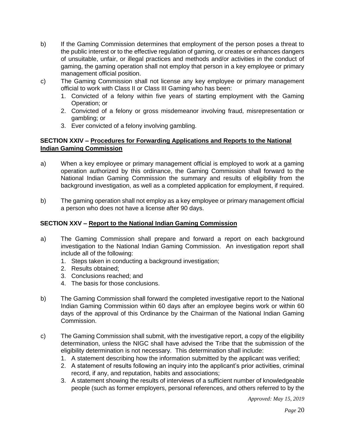- b) If the Gaming Commission determines that employment of the person poses a threat to the public interest or to the effective regulation of gaming, or creates or enhances dangers of unsuitable, unfair, or illegal practices and methods and/or activities in the conduct of gaming, the gaming operation shall not employ that person in a key employee or primary management official position.
- c) The Gaming Commission shall not license any key employee or primary management official to work with Class II or Class III Gaming who has been:
	- 1. Convicted of a felony within five years of starting employment with the Gaming Operation; or
	- 2. Convicted of a felony or gross misdemeanor involving fraud, misrepresentation or gambling; or
	- 3. Ever convicted of a felony involving gambling.

#### **SECTION XXIV – Procedures for Forwarding Applications and Reports to the National Indian Gaming Commission**

- a) When a key employee or primary management official is employed to work at a gaming operation authorized by this ordinance, the Gaming Commission shall forward to the National Indian Gaming Commission the summary and results of eligibility from the background investigation, as well as a completed application for employment, if required.
- b) The gaming operation shall not employ as a key employee or primary management official a person who does not have a license after 90 days.

# **SECTION XXV – Report to the National Indian Gaming Commission**

- a) The Gaming Commission shall prepare and forward a report on each background investigation to the National Indian Gaming Commission. An investigation report shall include all of the following:
	- 1. Steps taken in conducting a background investigation;
	- 2. Results obtained;
	- 3. Conclusions reached; and
	- 4. The basis for those conclusions.
- b) The Gaming Commission shall forward the completed investigative report to the National Indian Gaming Commission within 60 days after an employee begins work or within 60 days of the approval of this Ordinance by the Chairman of the National Indian Gaming Commission.
- c) The Gaming Commission shall submit, with the investigative report, a copy of the eligibility determination, unless the NIGC shall have advised the Tribe that the submission of the eligibility determination is not necessary. This determination shall include:
	- 1. A statement describing how the information submitted by the applicant was verified;
	- 2. A statement of results following an inquiry into the applicant's prior activities, criminal record, if any, and reputation, habits and associations;
	- 3. A statement showing the results of interviews of a sufficient number of knowledgeable people (such as former employers, personal references, and others referred to by the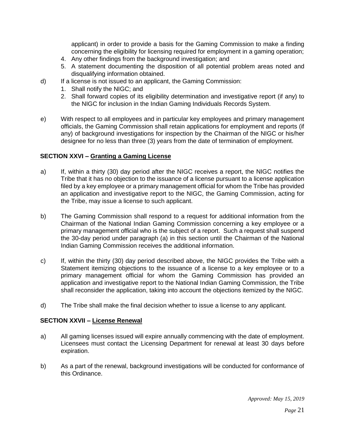applicant) in order to provide a basis for the Gaming Commission to make a finding concerning the eligibility for licensing required for employment in a gaming operation;

- 4. Any other findings from the background investigation; and
- 5. A statement documenting the disposition of all potential problem areas noted and disqualifying information obtained.
- d) If a license is not issued to an applicant, the Gaming Commission:
	- 1. Shall notify the NIGC; and
	- 2. Shall forward copies of its eligibility determination and investigative report (if any) to the NIGC for inclusion in the Indian Gaming Individuals Records System.
- e) With respect to all employees and in particular key employees and primary management officials, the Gaming Commission shall retain applications for employment and reports (if any) of background investigations for inspection by the Chairman of the NIGC or his/her designee for no less than three (3) years from the date of termination of employment.

#### **SECTION XXVI – Granting a Gaming License**

- a) If, within a thirty (30) day period after the NIGC receives a report, the NIGC notifies the Tribe that it has no objection to the issuance of a license pursuant to a license application filed by a key employee or a primary management official for whom the Tribe has provided an application and investigative report to the NIGC, the Gaming Commission, acting for the Tribe, may issue a license to such applicant.
- b) The Gaming Commission shall respond to a request for additional information from the Chairman of the National Indian Gaming Commission concerning a key employee or a primary management official who is the subject of a report. Such a request shall suspend the 30-day period under paragraph (a) in this section until the Chairman of the National Indian Gaming Commission receives the additional information.
- c) If, within the thirty (30) day period described above, the NIGC provides the Tribe with a Statement itemizing objections to the issuance of a license to a key employee or to a primary management official for whom the Gaming Commission has provided an application and investigative report to the National Indian Gaming Commission, the Tribe shall reconsider the application, taking into account the objections itemized by the NIGC.
- d) The Tribe shall make the final decision whether to issue a license to any applicant.

#### **SECTION XXVII – License Renewal**

- a) All gaming licenses issued will expire annually commencing with the date of employment. Licensees must contact the Licensing Department for renewal at least 30 days before expiration.
- b) As a part of the renewal, background investigations will be conducted for conformance of this Ordinance.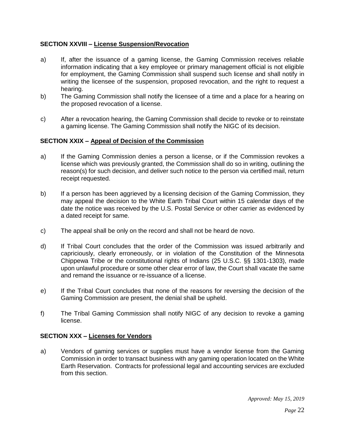#### **SECTION XXVIII – License Suspension/Revocation**

- a) If, after the issuance of a gaming license, the Gaming Commission receives reliable information indicating that a key employee or primary management official is not eligible for employment, the Gaming Commission shall suspend such license and shall notify in writing the licensee of the suspension, proposed revocation, and the right to request a hearing.
- b) The Gaming Commission shall notify the licensee of a time and a place for a hearing on the proposed revocation of a license.
- c) After a revocation hearing, the Gaming Commission shall decide to revoke or to reinstate a gaming license. The Gaming Commission shall notify the NIGC of its decision.

#### **SECTION XXIX – Appeal of Decision of the Commission**

- a) If the Gaming Commission denies a person a license, or if the Commission revokes a license which was previously granted, the Commission shall do so in writing, outlining the reason(s) for such decision, and deliver such notice to the person via certified mail, return receipt requested.
- b) If a person has been aggrieved by a licensing decision of the Gaming Commission, they may appeal the decision to the White Earth Tribal Court within 15 calendar days of the date the notice was received by the U.S. Postal Service or other carrier as evidenced by a dated receipt for same.
- c) The appeal shall be only on the record and shall not be heard de novo.
- d) If Tribal Court concludes that the order of the Commission was issued arbitrarily and capriciously, clearly erroneously, or in violation of the Constitution of the Minnesota Chippewa Tribe or the constitutional rights of Indians (25 U.S.C. §§ 1301-1303), made upon unlawful procedure or some other clear error of law, the Court shall vacate the same and remand the issuance or re-issuance of a license.
- e) If the Tribal Court concludes that none of the reasons for reversing the decision of the Gaming Commission are present, the denial shall be upheld.
- f) The Tribal Gaming Commission shall notify NIGC of any decision to revoke a gaming license.

#### **SECTION XXX – Licenses for Vendors**

a) Vendors of gaming services or supplies must have a vendor license from the Gaming Commission in order to transact business with any gaming operation located on the White Earth Reservation. Contracts for professional legal and accounting services are excluded from this section.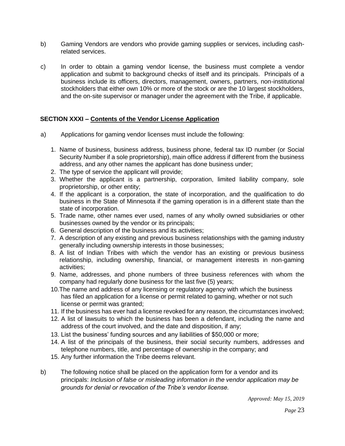- b) Gaming Vendors are vendors who provide gaming supplies or services, including cashrelated services.
- c) In order to obtain a gaming vendor license, the business must complete a vendor application and submit to background checks of itself and its principals. Principals of a business include its officers, directors, management, owners, partners, non-institutional stockholders that either own 10% or more of the stock or are the 10 largest stockholders, and the on-site supervisor or manager under the agreement with the Tribe, if applicable.

#### **SECTION XXXI – Contents of the Vendor License Application**

- a) Applications for gaming vendor licenses must include the following:
	- 1. Name of business, business address, business phone, federal tax ID number (or Social Security Number if a sole proprietorship), main office address if different from the business address, and any other names the applicant has done business under;
	- 2. The type of service the applicant will provide;
	- 3. Whether the applicant is a partnership, corporation, limited liability company, sole proprietorship, or other entity;
	- 4. If the applicant is a corporation, the state of incorporation, and the qualification to do business in the State of Minnesota if the gaming operation is in a different state than the state of incorporation.
	- 5. Trade name, other names ever used, names of any wholly owned subsidiaries or other businesses owned by the vendor or its principals;
	- 6. General description of the business and its activities;
	- 7. A description of any existing and previous business relationships with the gaming industry generally including ownership interests in those businesses;
	- 8. A list of Indian Tribes with which the vendor has an existing or previous business relationship, including ownership, financial, or management interests in non-gaming activities;
	- 9. Name, addresses, and phone numbers of three business references with whom the company had regularly done business for the last five (5) years;
	- 10.The name and address of any licensing or regulatory agency with which the business has filed an application for a license or permit related to gaming, whether or not such license or permit was granted;
	- 11. If the business has ever had a license revoked for any reason, the circumstances involved;
	- 12. A list of lawsuits to which the business has been a defendant, including the name and address of the court involved, and the date and disposition, if any;
	- 13. List the business' funding sources and any liabilities of \$50,000 or more;
	- 14. A list of the principals of the business, their social security numbers, addresses and telephone numbers, title, and percentage of ownership in the company; and
	- 15. Any further information the Tribe deems relevant.
- b) The following notice shall be placed on the application form for a vendor and its principals: *Inclusion of false or misleading information in the vendor application may be grounds for denial or revocation of the Tribe's vendor license.*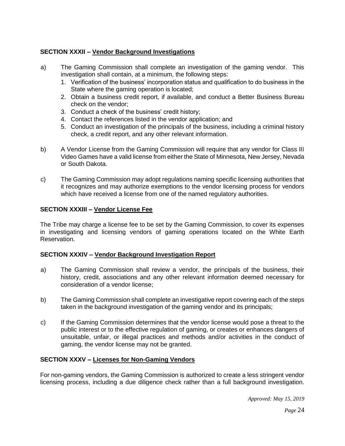# **SECTION XXXII – Vendor Background Investigations**

- a) The Gaming Commission shall complete an investigation of the gaming vendor. This investigation shall contain, at a minimum, the following steps:
	- 1. Verification of the business' incorporation status and qualification to do business in the State where the gaming operation is located;
	- 2. Obtain a business credit report, if available, and conduct a Better Business Bureau check on the vendor;
	- 3. Conduct a check of the business' credit history;
	- 4. Contact the references listed in the vendor application; and
	- 5. Conduct an investigation of the principals of the business, including a criminal history check, a credit report, and any other relevant information.
- b) A Vendor License from the Gaming Commission will require that any vendor for Class III Video Games have a valid license from either the State of Minnesota, New Jersey, Nevada or South Dakota.
- c) The Gaming Commission may adopt regulations naming specific licensing authorities that it recognizes and may authorize exemptions to the vendor licensing process for vendors which have received a license from one of the named regulatory authorities.

#### **SECTION XXXIII – Vendor License Fee**

The Tribe may charge a license fee to be set by the Gaming Commission, to cover its expenses in investigating and licensing vendors of gaming operations located on the White Earth Reservation.

#### **SECTION XXXIV – Vendor Background Investigation Report**

- a) The Gaming Commission shall review a vendor, the principals of the business, their history, credit, associations and any other relevant information deemed necessary for consideration of a vendor license;
- b) The Gaming Commission shall complete an investigative report covering each of the steps taken in the background investigation of the gaming vendor and its principals;
- c) If the Gaming Commission determines that the vendor license would pose a threat to the public interest or to the effective regulation of gaming, or creates or enhances dangers of unsuitable, unfair, or illegal practices and methods and/or activities in the conduct of gaming, the vendor license may not be granted.

#### **SECTION XXXV – Licenses for Non-Gaming Vendors**

For non-gaming vendors, the Gaming Commission is authorized to create a less stringent vendor licensing process, including a due diligence check rather than a full background investigation.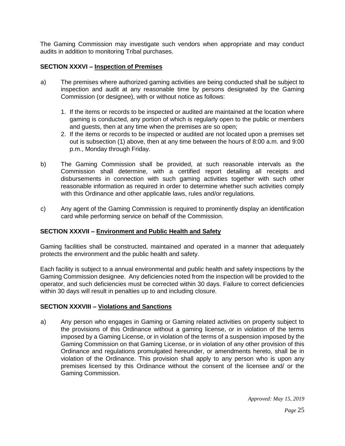The Gaming Commission may investigate such vendors when appropriate and may conduct audits in addition to monitoring Tribal purchases.

## **SECTION XXXVI – Inspection of Premises**

- a) The premises where authorized gaming activities are being conducted shall be subject to inspection and audit at any reasonable time by persons designated by the Gaming Commission (or designee), with or without notice as follows:
	- 1. If the items or records to be inspected or audited are maintained at the location where gaming is conducted, any portion of which is regularly open to the public or members and guests, then at any time when the premises are so open;
	- 2. If the items or records to be inspected or audited are not located upon a premises set out is subsection (1) above, then at any time between the hours of 8:00 a.m. and 9:00 p.m., Monday through Friday.
- b) The Gaming Commission shall be provided, at such reasonable intervals as the Commission shall determine, with a certified report detailing all receipts and disbursements in connection with such gaming activities together with such other reasonable information as required in order to determine whether such activities comply with this Ordinance and other applicable laws, rules and/or regulations.
- c) Any agent of the Gaming Commission is required to prominently display an identification card while performing service on behalf of the Commission.

#### **SECTION XXXVII – Environment and Public Health and Safety**

Gaming facilities shall be constructed, maintained and operated in a manner that adequately protects the environment and the public health and safety.

Each facility is subject to a annual environmental and public health and safety inspections by the Gaming Commission designee. Any deficiencies noted from the inspection will be provided to the operator, and such deficiencies must be corrected within 30 days. Failure to correct deficiencies within 30 days will result in penalties up to and including closure.

#### **SECTION XXXVIII – Violations and Sanctions**

a) Any person who engages in Gaming or Gaming related activities on property subject to the provisions of this Ordinance without a gaming license, or in violation of the terms imposed by a Gaming License, or in violation of the terms of a suspension imposed by the Gaming Commission on that Gaming License, or in violation of any other provision of this Ordinance and regulations promulgated hereunder, or amendments hereto, shall be in violation of the Ordinance. This provision shall apply to any person who is upon any premises licensed by this Ordinance without the consent of the licensee and/ or the Gaming Commission.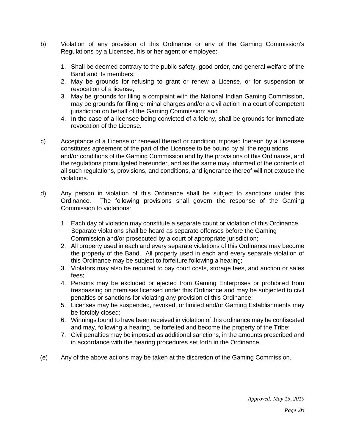- b) Violation of any provision of this Ordinance or any of the Gaming Commission's Regulations by a Licensee, his or her agent or employee:
	- 1. Shall be deemed contrary to the public safety, good order, and general welfare of the Band and its members;
	- 2. May be grounds for refusing to grant or renew a License, or for suspension or revocation of a license;
	- 3. May be grounds for filing a complaint with the National Indian Gaming Commission, may be grounds for filing criminal charges and/or a civil action in a court of competent jurisdiction on behalf of the Gaming Commission; and
	- 4. In the case of a licensee being convicted of a felony, shall be grounds for immediate revocation of the License.
- c) Acceptance of a License or renewal thereof or condition imposed thereon by a Licensee constitutes agreement of the part of the Licensee to be bound by all the regulations and/or conditions of the Gaming Commission and by the provisions of this Ordinance, and the regulations promulgated hereunder, and as the same may informed of the contents of all such regulations, provisions, and conditions, and ignorance thereof will not excuse the violations.
- d) Any person in violation of this Ordinance shall be subject to sanctions under this Ordinance. The following provisions shall govern the response of the Gaming Commission to violations:
	- 1. Each day of violation may constitute a separate count or violation of this Ordinance. Separate violations shall be heard as separate offenses before the Gaming Commission and/or prosecuted by a court of appropriate jurisdiction;
	- 2. All property used in each and every separate violations of this Ordinance may become the property of the Band. All property used in each and every separate violation of this Ordinance may be subject to forfeiture following a hearing;
	- 3. Violators may also be required to pay court costs, storage fees, and auction or sales fees;
	- 4. Persons may be excluded or ejected from Gaming Enterprises or prohibited from trespassing on premises licensed under this Ordinance and may be subjected to civil penalties or sanctions for violating any provision of this Ordinance;
	- 5. Licenses may be suspended, revoked, or limited and/or Gaming Establishments may be forcibly closed;
	- 6. Winnings found to have been received in violation of this ordinance may be confiscated and may, following a hearing, be forfeited and become the property of the Tribe;
	- 7. Civil penalties may be imposed as additional sanctions, in the amounts prescribed and in accordance with the hearing procedures set forth in the Ordinance.
- (e) Any of the above actions may be taken at the discretion of the Gaming Commission.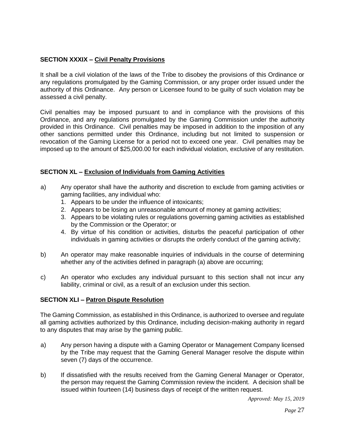# **SECTION XXXIX – Civil Penalty Provisions**

It shall be a civil violation of the laws of the Tribe to disobey the provisions of this Ordinance or any regulations promulgated by the Gaming Commission, or any proper order issued under the authority of this Ordinance. Any person or Licensee found to be guilty of such violation may be assessed a civil penalty.

Civil penalties may be imposed pursuant to and in compliance with the provisions of this Ordinance, and any regulations promulgated by the Gaming Commission under the authority provided in this Ordinance. Civil penalties may be imposed in addition to the imposition of any other sanctions permitted under this Ordinance, including but not limited to suspension or revocation of the Gaming License for a period not to exceed one year. Civil penalties may be imposed up to the amount of \$25,000.00 for each individual violation, exclusive of any restitution.

#### **SECTION XL – Exclusion of Individuals from Gaming Activities**

- a) Any operator shall have the authority and discretion to exclude from gaming activities or gaming facilities, any individual who:
	- 1. Appears to be under the influence of intoxicants;
	- 2. Appears to be losing an unreasonable amount of money at gaming activities;
	- 3. Appears to be violating rules or regulations governing gaming activities as established by the Commission or the Operator; or
	- 4. By virtue of his condition or activities, disturbs the peaceful participation of other individuals in gaming activities or disrupts the orderly conduct of the gaming activity;
- b) An operator may make reasonable inquiries of individuals in the course of determining whether any of the activities defined in paragraph (a) above are occurring;
- c) An operator who excludes any individual pursuant to this section shall not incur any liability, criminal or civil, as a result of an exclusion under this section.

#### **SECTION XLI – Patron Dispute Resolution**

The Gaming Commission, as established in this Ordinance, is authorized to oversee and regulate all gaming activities authorized by this Ordinance, including decision-making authority in regard to any disputes that may arise by the gaming public.

- a) Any person having a dispute with a Gaming Operator or Management Company licensed by the Tribe may request that the Gaming General Manager resolve the dispute within seven (7) days of the occurrence.
- b) If dissatisfied with the results received from the Gaming General Manager or Operator, the person may request the Gaming Commission review the incident. A decision shall be issued within fourteen (14) business days of receipt of the written request.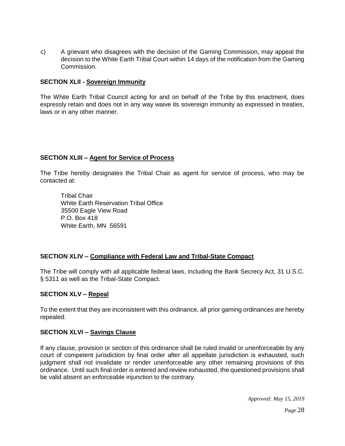c) A grievant who disagrees with the decision of the Gaming Commission, may appeal the decision to the White Earth Tribal Court within 14 days of the notification from the Gaming Commission.

#### **SECTION XLII - Sovereign Immunity**

The White Earth Tribal Council acting for and on behalf of the Tribe by this enactment, does expressly retain and does not in any way waive its sovereign immunity as expressed in treaties, laws or in any other manner.

#### **SECTION XLIII – Agent for Service of Process**

The Tribe hereby designates the Tribal Chair as agent for service of process, who may be contacted at:

Tribal Chair White Earth Reservation Tribal Office 35500 Eagle View Road P.O. Box 418 White Earth, MN 56591

#### **SECTION XLIV – Compliance with Federal Law and Tribal-State Compact**

The Tribe will comply with all applicable federal laws, including the Bank Secrecy Act, 31 U.S.C. § 5311 as well as the Tribal-State Compact.

#### **SECTION XLV – Repeal**

To the extent that they are inconsistent with this ordinance, all prior gaming ordinances are hereby repealed.

#### **SECTION XLVI – Savings Clause**

If any clause, provision or section of this ordinance shall be ruled invalid or unenforceable by any court of competent jurisdiction by final order after all appellate jurisdiction is exhausted, such judgment shall not invalidate or render unenforceable any other remaining provisions of this ordinance. Until such final order is entered and review exhausted, the questioned provisions shall be valid absent an enforceable injunction to the contrary.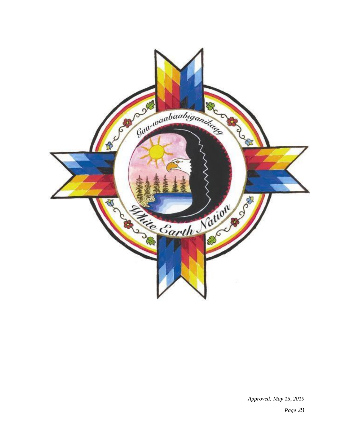

*Approved: May 15, 2019* 

*Page* 29